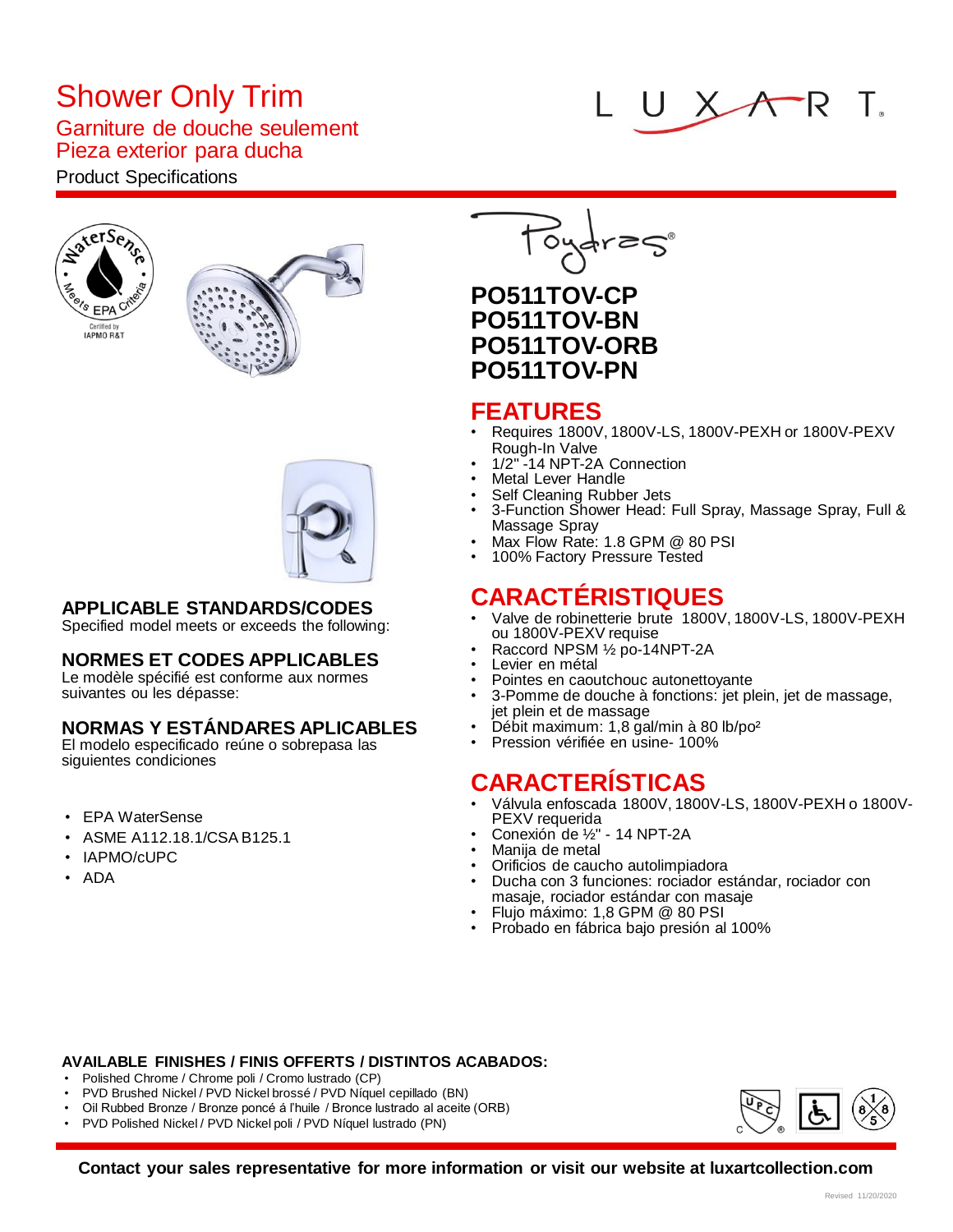# Shower Only Trim

### Garniture de douche seulement Pieza exterior para ducha

## Product Specifications







## **APPLICABLE STANDARDS/CODES**

Specified model meets or exceeds the following:

#### **NORMES ET CODES APPLICABLES**

Le modèle spécifié est conforme aux normes suivantes ou les dépasse:

#### **NORMAS Y ESTÁNDARES APLICABLES**

El modelo especificado reúne o sobrepasa las siguientes condiciones

- EPA WaterSense
- ASME A112.18.1/CSA B125.1
- IAPMO/cUPC
- ADA

## **PO511TOV-CP PO511TOV-BN PO511TOV-ORB PO511TOV-PN**

## **FEATURES**

• Requires 1800V, 1800V-LS, 1800V-PEXH or 1800V-PEXV Rough-In Valve

UX

 $\bigwedge P$ 

- 1/2" -14 NPT-2A Connection
- **Metal Lever Handle**
- Self Cleaning Rubber Jets
- 3-Function Shower Head: Full Spray, Massage Spray, Full & Massage Spray
- Max Flow Rate: 1.8 GPM @ 80 PSI
- 100% Factory Pressure Tested

## **CARACTÉRISTIQUES**

- Valve de robinetterie brute 1800V, 1800V-LS, 1800V-PEXH ou 1800V-PEXV requise
- Raccord NPSM ½ po-14NPT-2A
- Levier en métal
- Pointes en caoutchouc autonettoyante
- 3-Pomme de douche à fonctions: jet plein, jet de massage, jet plein et de massage
- Débit maximum: 1,8 gal/min à 80 lb/po²
- Pression vérifiée en usine- 100%

## **CARACTERÍSTICAS**

- Válvula enfoscada 1800V, 1800V-LS, 1800V-PEXH o 1800V-PEXV requerida
- Conexión de ½" 14 NPT-2A
- Manija de metal
- Orificios de caucho autolimpiadora
- Ducha con 3 funciones: rociador estándar, rociador con masaje, rociador estándar con masaje
- Flujo máximo: 1,8 GPM @ 80 PSI
- Probado en fábrica bajo presión al 100%

#### **AVAILABLE FINISHES / FINIS OFFERTS / DISTINTOS ACABADOS:**

- Polished Chrome / Chrome poli / Cromo lustrado (CP)
- PVD Brushed Nickel / PVD Nickel brossé / PVD Níquel cepillado (BN)
- Oil Rubbed Bronze / Bronze poncé á l'huile / Bronce lustrado al aceite (ORB)
- PVD Polished Nickel / PVD Nickel poli / PVD Níquel lustrado (PN)



**Contact your sales representative for more information or visit our website at luxartcollection.com**